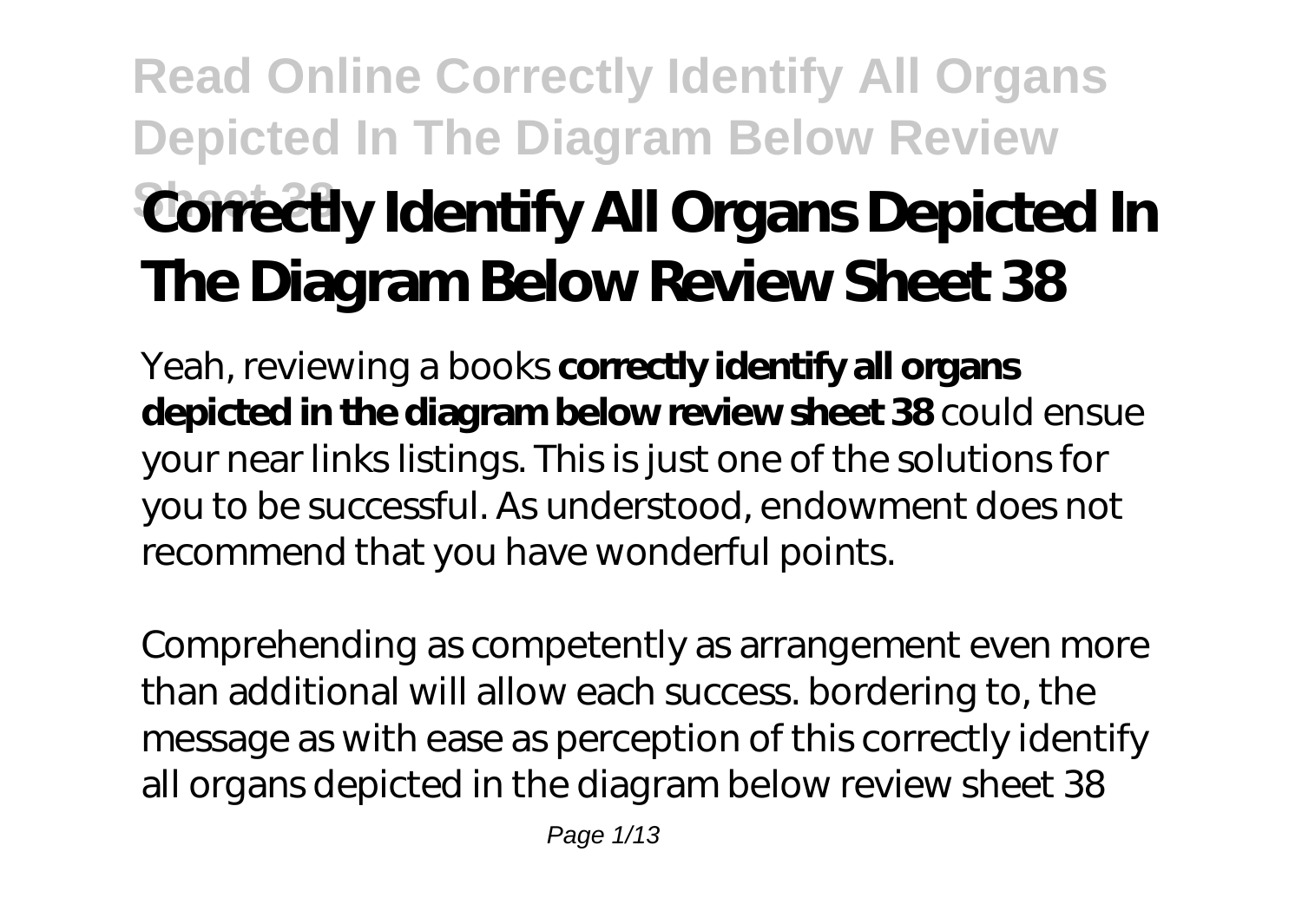# **Read Online Correctly Identify All Organs Depicted In The Diagram Below Review Correctly Identify All Organs Depicted In The Diagram Below Review Sheet 38**

Yeah, reviewing a books **correctly identify all organs depicted in the diagram below review sheet 38** could ensue your near links listings. This is just one of the solutions for you to be successful. As understood, endowment does not recommend that you have wonderful points.

Comprehending as competently as arrangement even more than additional will allow each success. bordering to, the message as with ease as perception of this correctly identify all organs depicted in the diagram below review sheet 38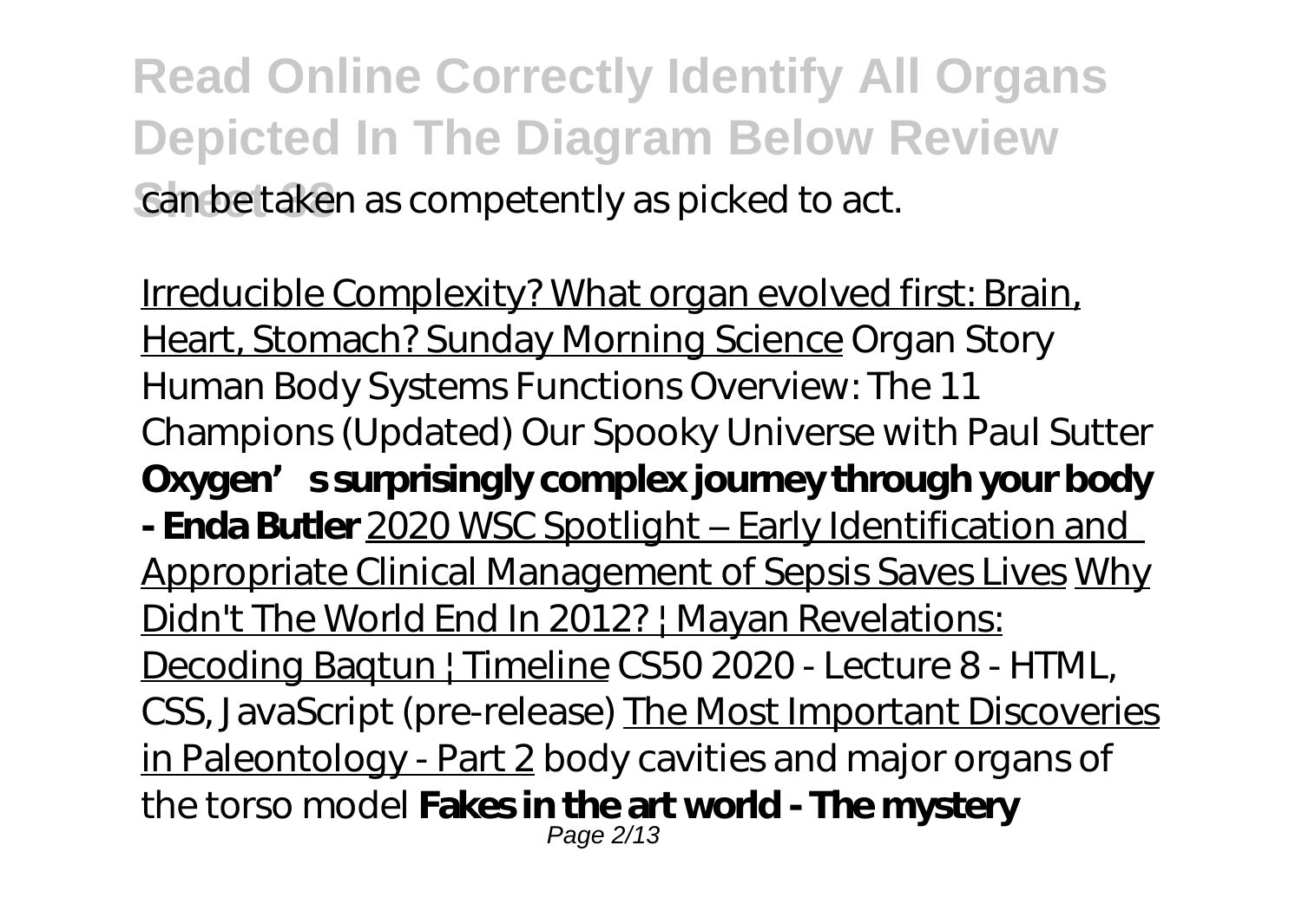**Read Online Correctly Identify All Organs Depicted In The Diagram Below Review** can be taken as competently as picked to act.

Irreducible Complexity? What organ evolved first: Brain, Heart, Stomach? Sunday Morning Science *Organ Story Human Body Systems Functions Overview: The 11 Champions (Updated)* Our Spooky Universe with Paul Sutter Oxygen' ssurprisingly complex journey through your body **- Enda Butler** 2020 WSC Spotlight – Early Identification and Appropriate Clinical Management of Sepsis Saves Lives Why Didn't The World End In 2012? | Mayan Revelations: Decoding Baqtun | Timeline CS50 2020 - Lecture 8 - HTML, CSS, JavaScript (pre-release) The Most Important Discoveries in Paleontology - Part 2 *body cavities and major organs of the torso model* **Fakes in the art world - The mystery** Page 2/13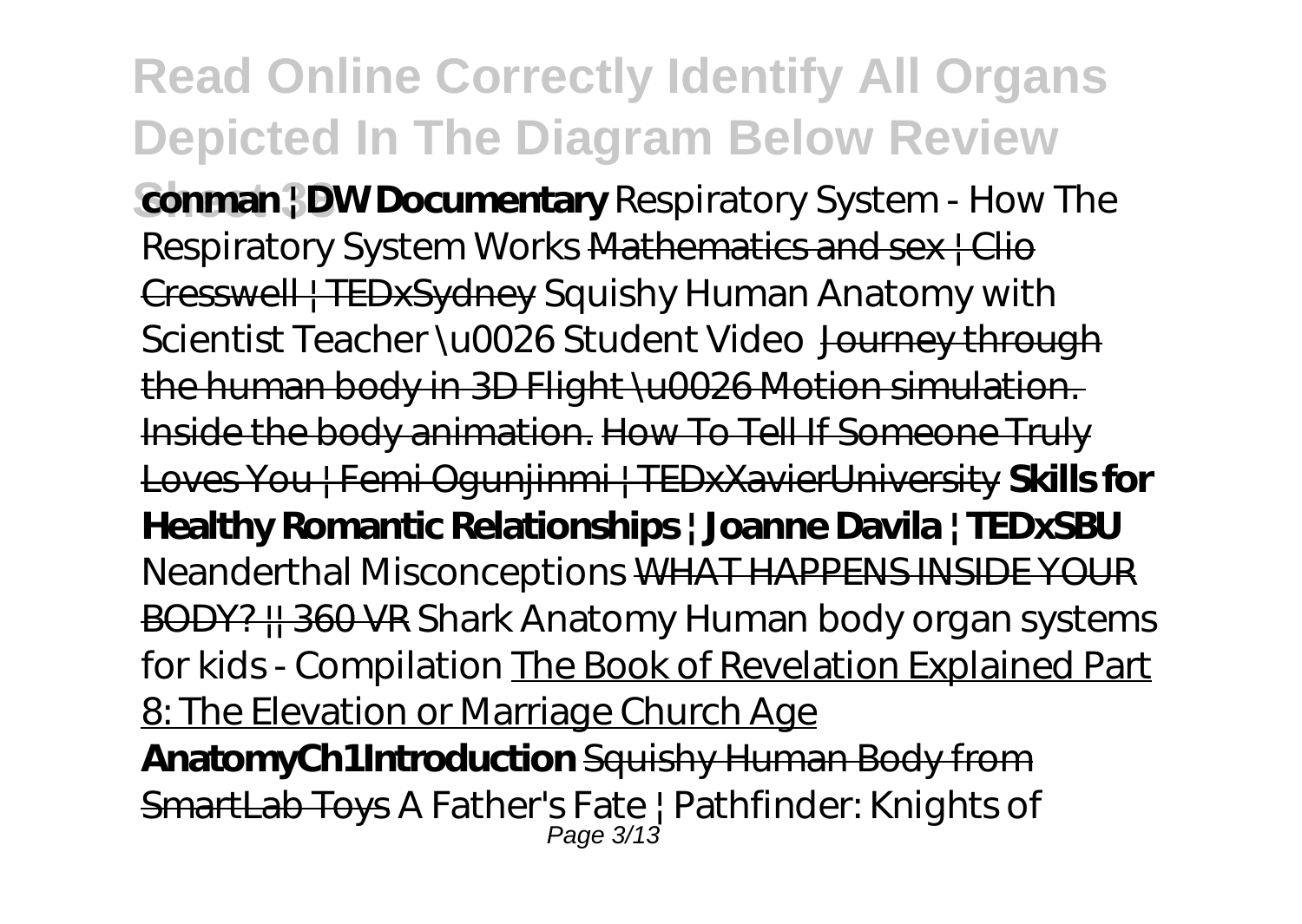#### **Read Online Correctly Identify All Organs Depicted In The Diagram Below Review Conman | DW Documentary** Respiratory System - How The Respiratory System Works Mathematics and sex | Clio Cresswell | TEDxSydney *Squishy Human Anatomy with Scientist Teacher \u0026 Student Video* Journey through the human body in 3D Flight \u0026 Motion simulation. Inside the body animation. How To Tell If Someone Truly Loves You | Femi Ogunjinmi | TEDxXavierUniversity **Skills for Healthy Romantic Relationships | Joanne Davila | TEDxSBU** *Neanderthal Misconceptions* WHAT HAPPENS INSIDE YOUR BODY? || 360 VR *Shark Anatomy Human body organ systems for kids - Compilation* The Book of Revelation Explained Part 8: The Elevation or Marriage Church Age **AnatomyCh1Introduction** Squishy Human Body from SmartLab Toys A Father's Fate | Pathfinder: Knights of Page 3/13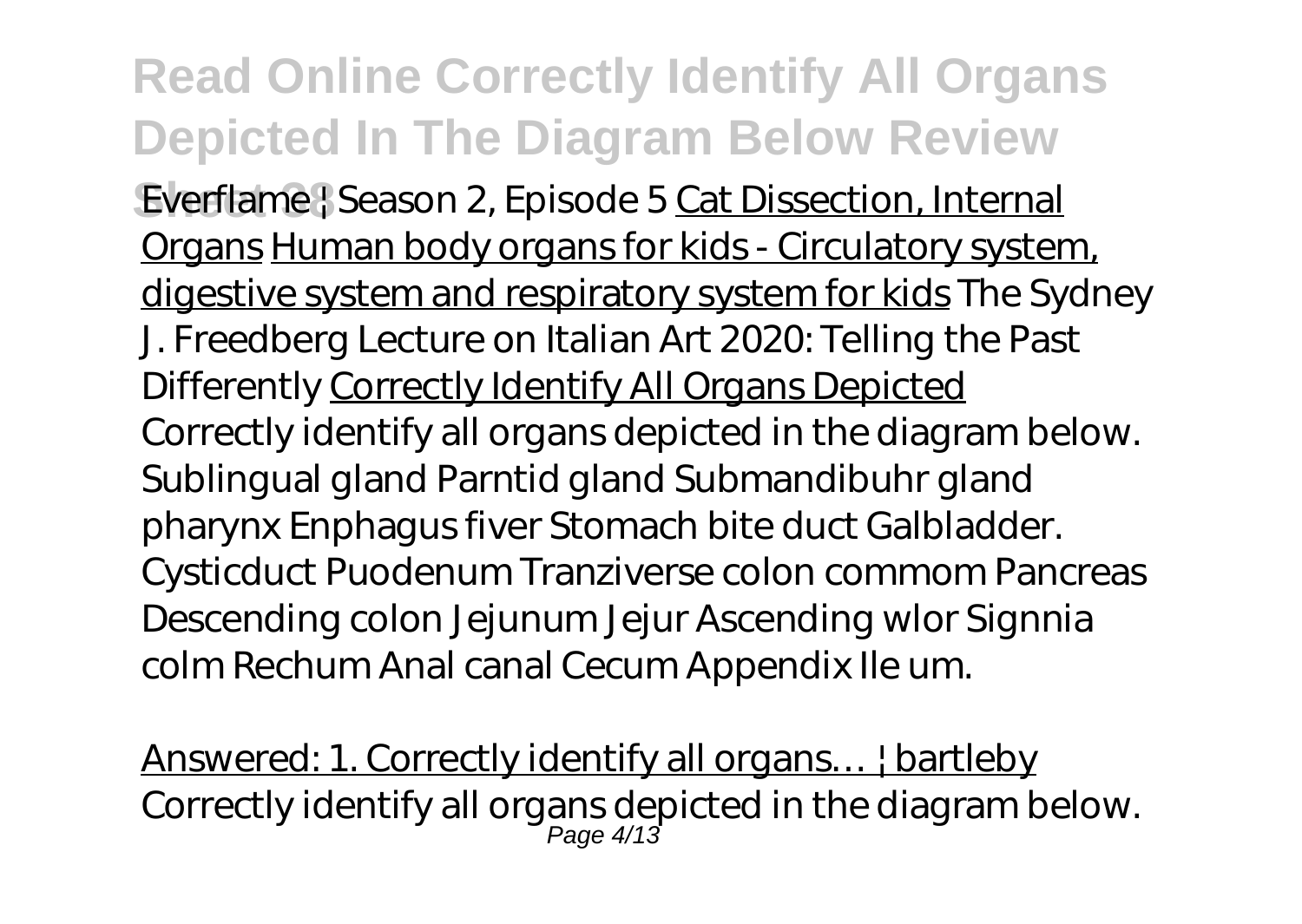**Sheet 38** Everflame | Season 2, Episode 5 Cat Dissection, Internal Organs Human body organs for kids - Circulatory system, digestive system and respiratory system for kids The Sydney J. Freedberg Lecture on Italian Art 2020: Telling the Past Differently Correctly Identify All Organs Depicted Correctly identify all organs depicted in the diagram below. Sublingual gland Parntid gland Submandibuhr gland pharynx Enphagus fiver Stomach bite duct Galbladder. Cysticduct Puodenum Tranziverse colon commom Pancreas Descending colon Jejunum Jejur Ascending wlor Signnia colm Rechum Anal canal Cecum Appendix Ile um.

Answered: 1. Correctly identify all organs… | bartleby Correctly identify all organs depicted in the diagram below. Page 4/13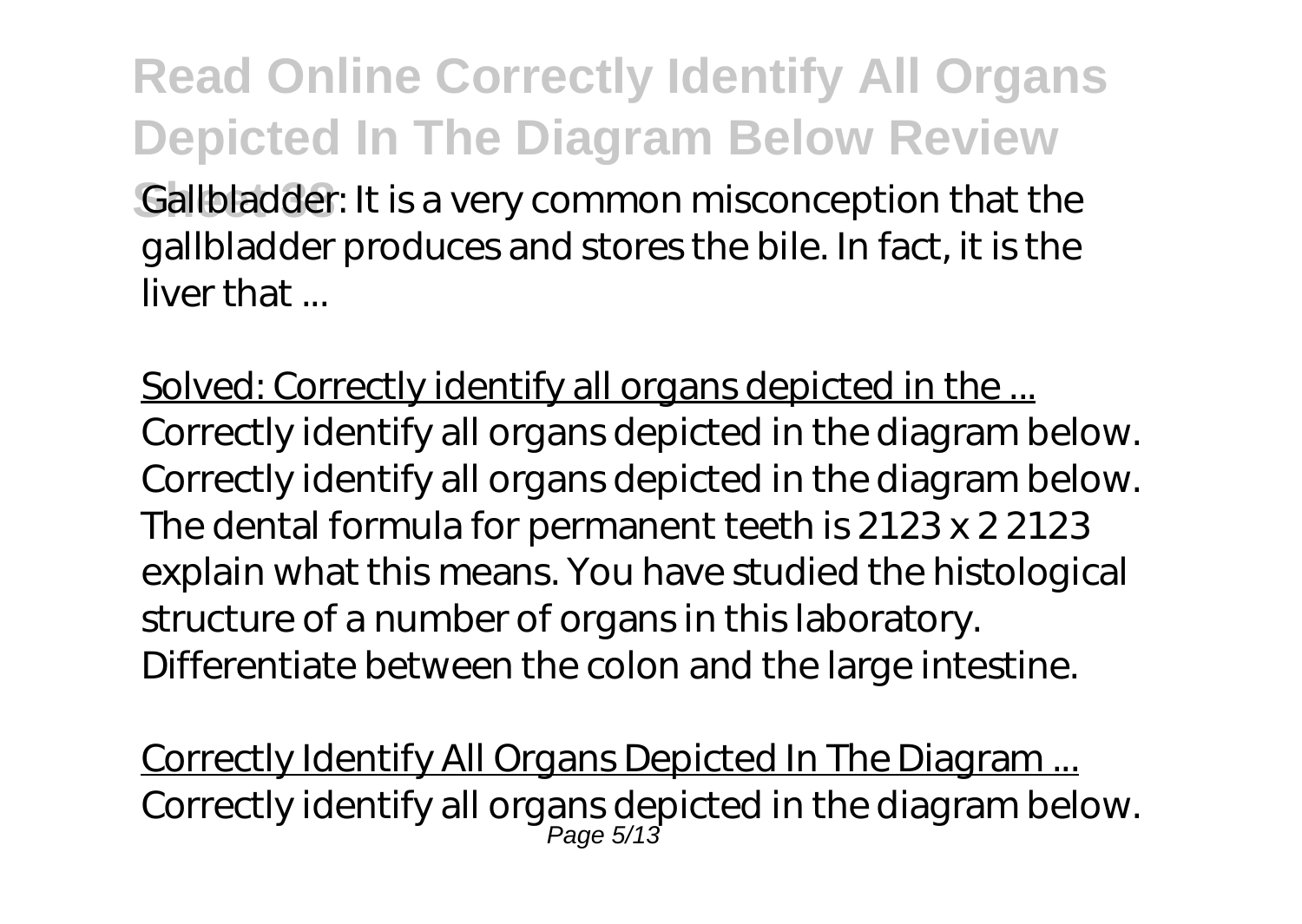#### **Read Online Correctly Identify All Organs Depicted In The Diagram Below Review Gallbladder:** It is a very common misconception that the gallbladder produces and stores the bile. In fact, it is the liver that ...

Solved: Correctly identify all organs depicted in the ... Correctly identify all organs depicted in the diagram below. Correctly identify all organs depicted in the diagram below. The dental formula for permanent teeth is 2123 x 2 2123 explain what this means. You have studied the histological structure of a number of organs in this laboratory. Differentiate between the colon and the large intestine.

Correctly Identify All Organs Depicted In The Diagram ... Correctly identify all organs depicted in the diagram below. Page 5/13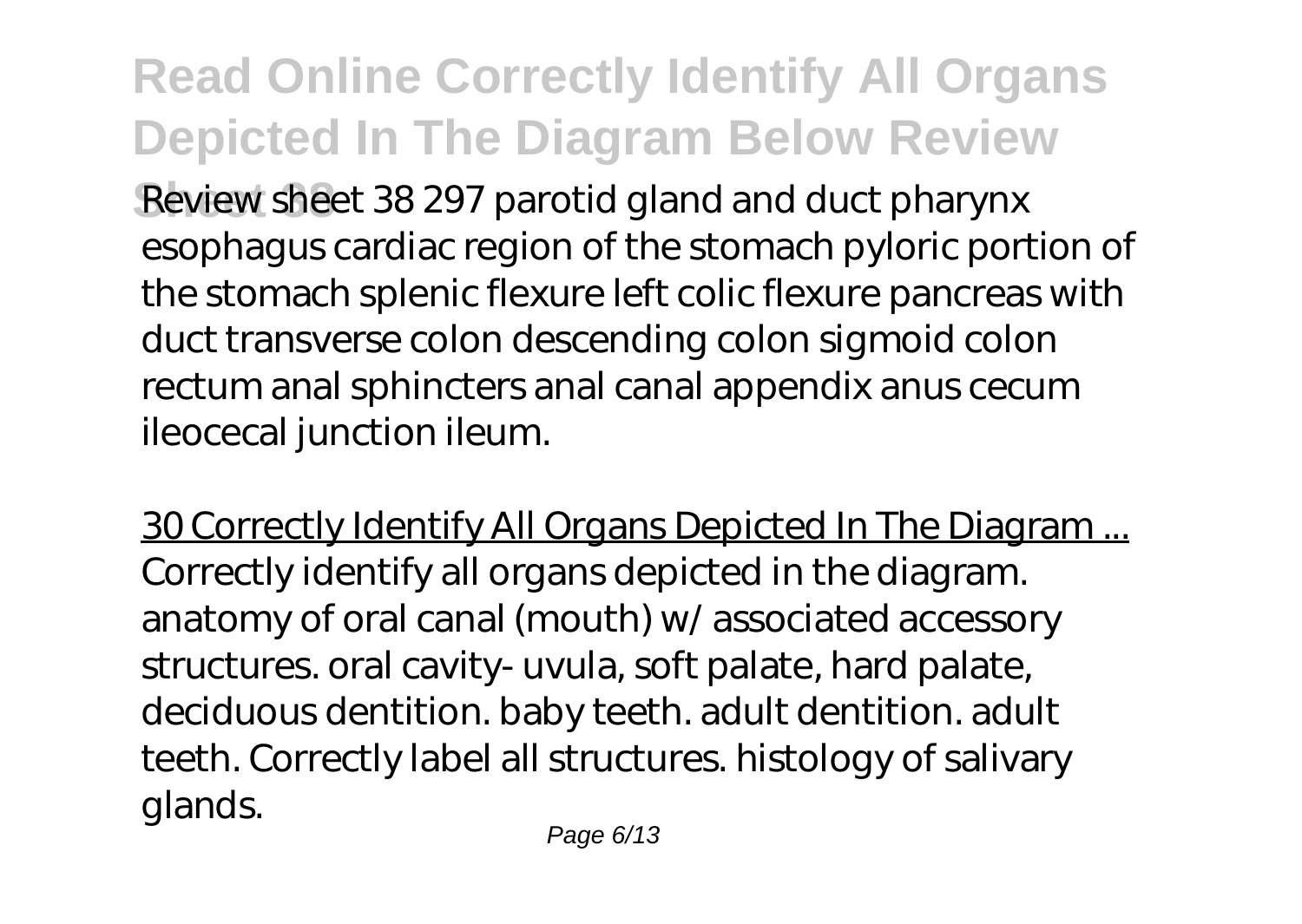**Sheet 38** Review sheet 38 297 parotid gland and duct pharynx esophagus cardiac region of the stomach pyloric portion of the stomach splenic flexure left colic flexure pancreas with duct transverse colon descending colon sigmoid colon rectum anal sphincters anal canal appendix anus cecum ileocecal junction ileum.

30 Correctly Identify All Organs Depicted In The Diagram ... Correctly identify all organs depicted in the diagram. anatomy of oral canal (mouth) w/ associated accessory structures. oral cavity- uvula, soft palate, hard palate, deciduous dentition. baby teeth. adult dentition. adult teeth. Correctly label all structures. histology of salivary glands.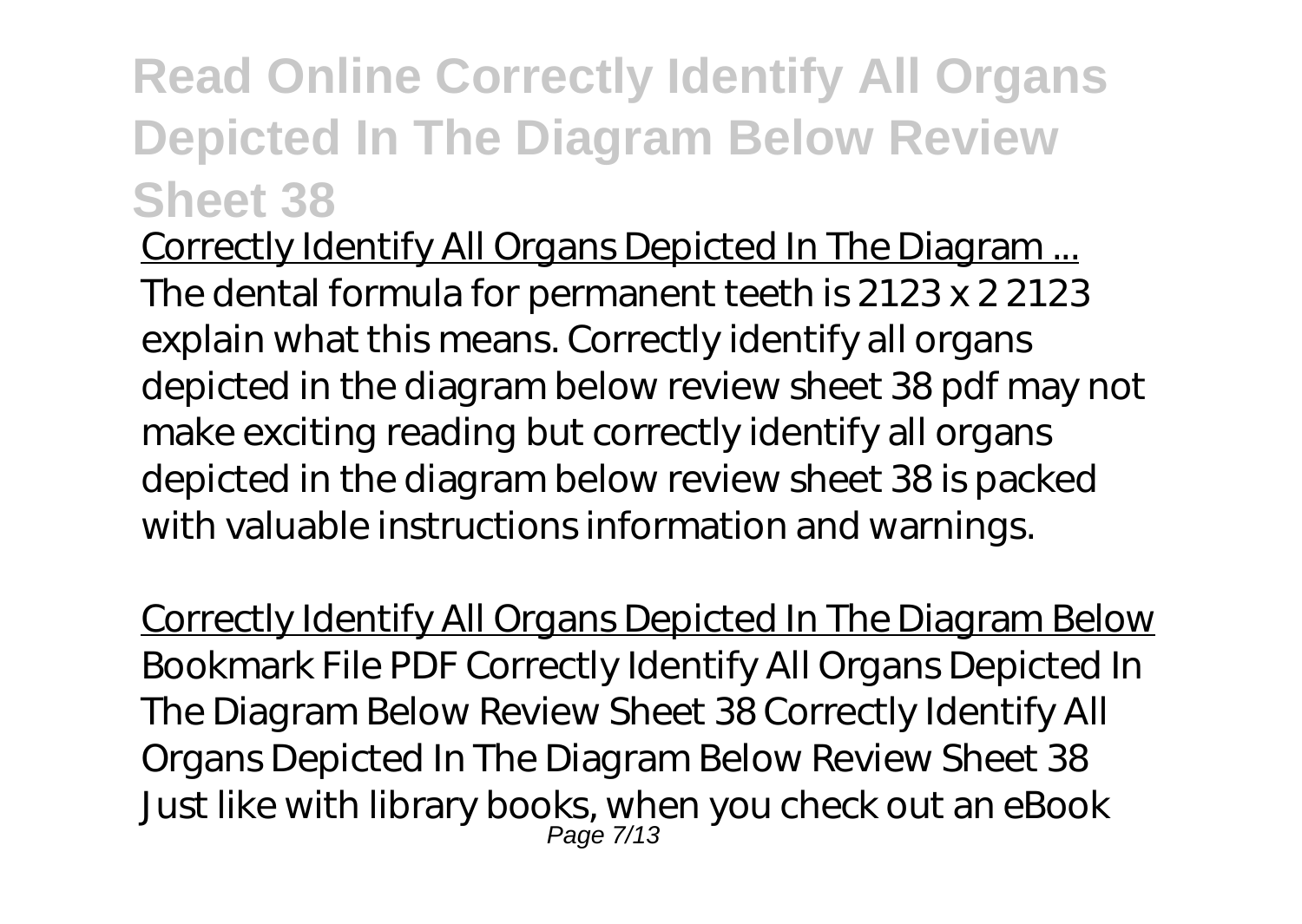Correctly Identify All Organs Depicted In The Diagram ... The dental formula for permanent teeth is 2123 x 2 2123 explain what this means. Correctly identify all organs depicted in the diagram below review sheet 38 pdf may not make exciting reading but correctly identify all organs depicted in the diagram below review sheet 38 is packed with valuable instructions information and warnings.

Correctly Identify All Organs Depicted In The Diagram Below Bookmark File PDF Correctly Identify All Organs Depicted In The Diagram Below Review Sheet 38 Correctly Identify All Organs Depicted In The Diagram Below Review Sheet 38 Just like with library books, when you check out an eBook Page 7/13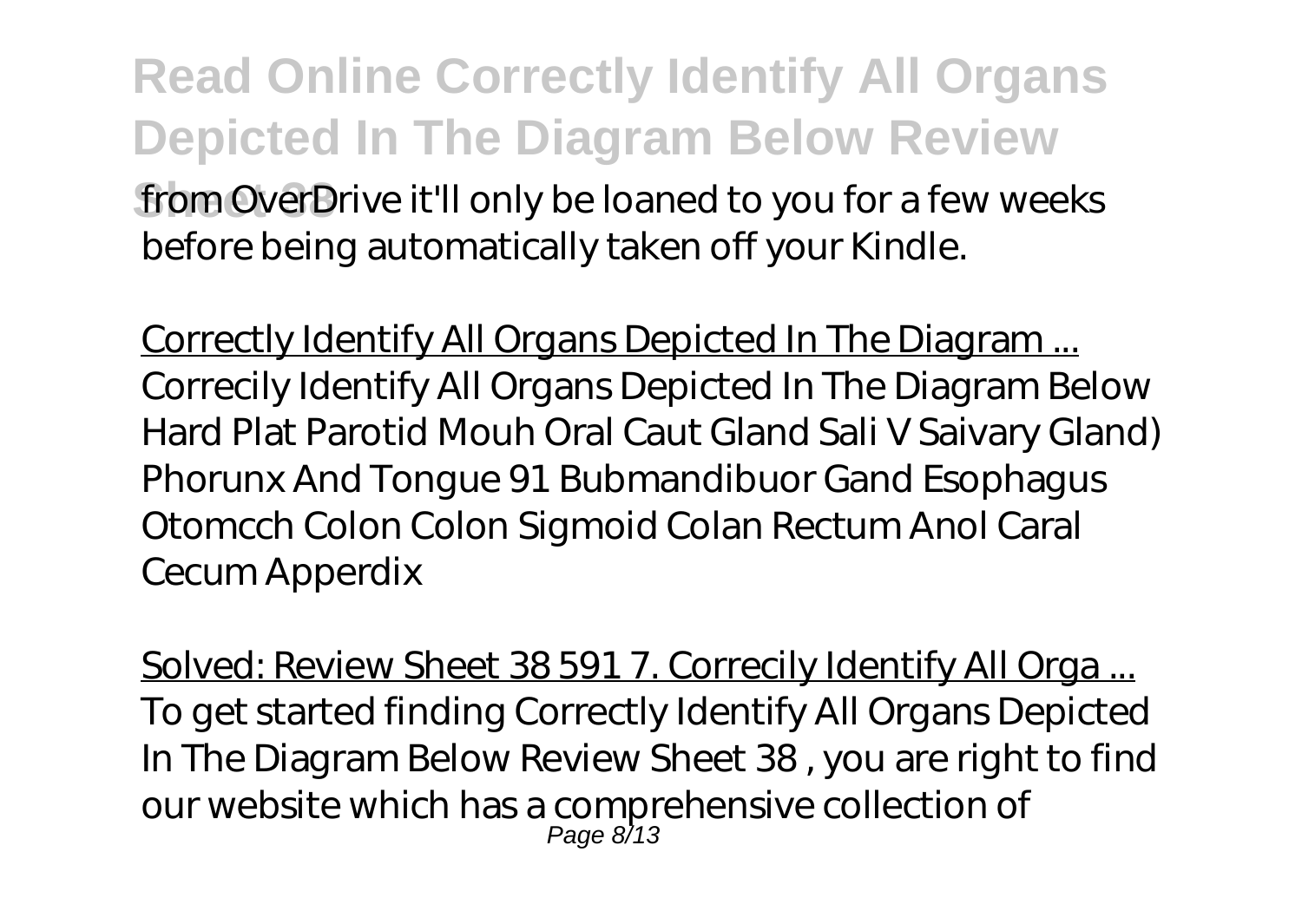**Read Online Correctly Identify All Organs Depicted In The Diagram Below Review** from OverDrive it'll only be loaned to you for a few weeks before being automatically taken off your Kindle.

Correctly Identify All Organs Depicted In The Diagram ... Correcily Identify All Organs Depicted In The Diagram Below Hard Plat Parotid Mouh Oral Caut Gland Sali V Saivary Gland) Phorunx And Tongue 91 Bubmandibuor Gand Esophagus Otomcch Colon Colon Sigmoid Colan Rectum Anol Caral Cecum Apperdix

Solved: Review Sheet 38 591 7. Correcily Identify All Orga... To get started finding Correctly Identify All Organs Depicted In The Diagram Below Review Sheet 38 , you are right to find our website which has a comprehensive collection of Page 8/13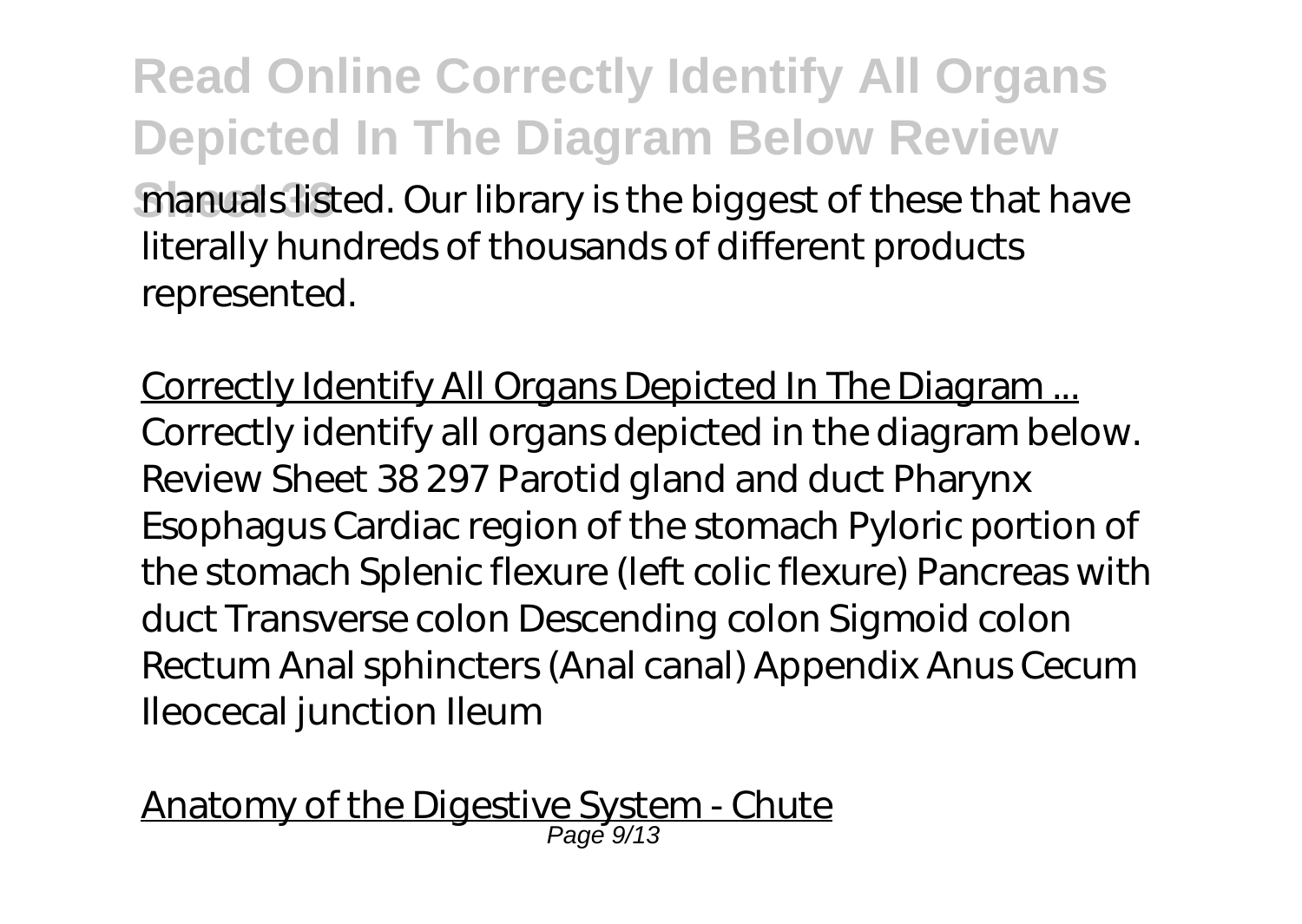**Read Online Correctly Identify All Organs Depicted In The Diagram Below Review manuals listed. Our library is the biggest of these that have** literally hundreds of thousands of different products represented.

Correctly Identify All Organs Depicted In The Diagram ... Correctly identify all organs depicted in the diagram below. Review Sheet 38 297 Parotid gland and duct Pharynx Esophagus Cardiac region of the stomach Pyloric portion of the stomach Splenic flexure (left colic flexure) Pancreas with duct Transverse colon Descending colon Sigmoid colon Rectum Anal sphincters (Anal canal) Appendix Anus Cecum Ileocecal junction Ileum

Anatomy of the Digestive System - Chute Page 9/13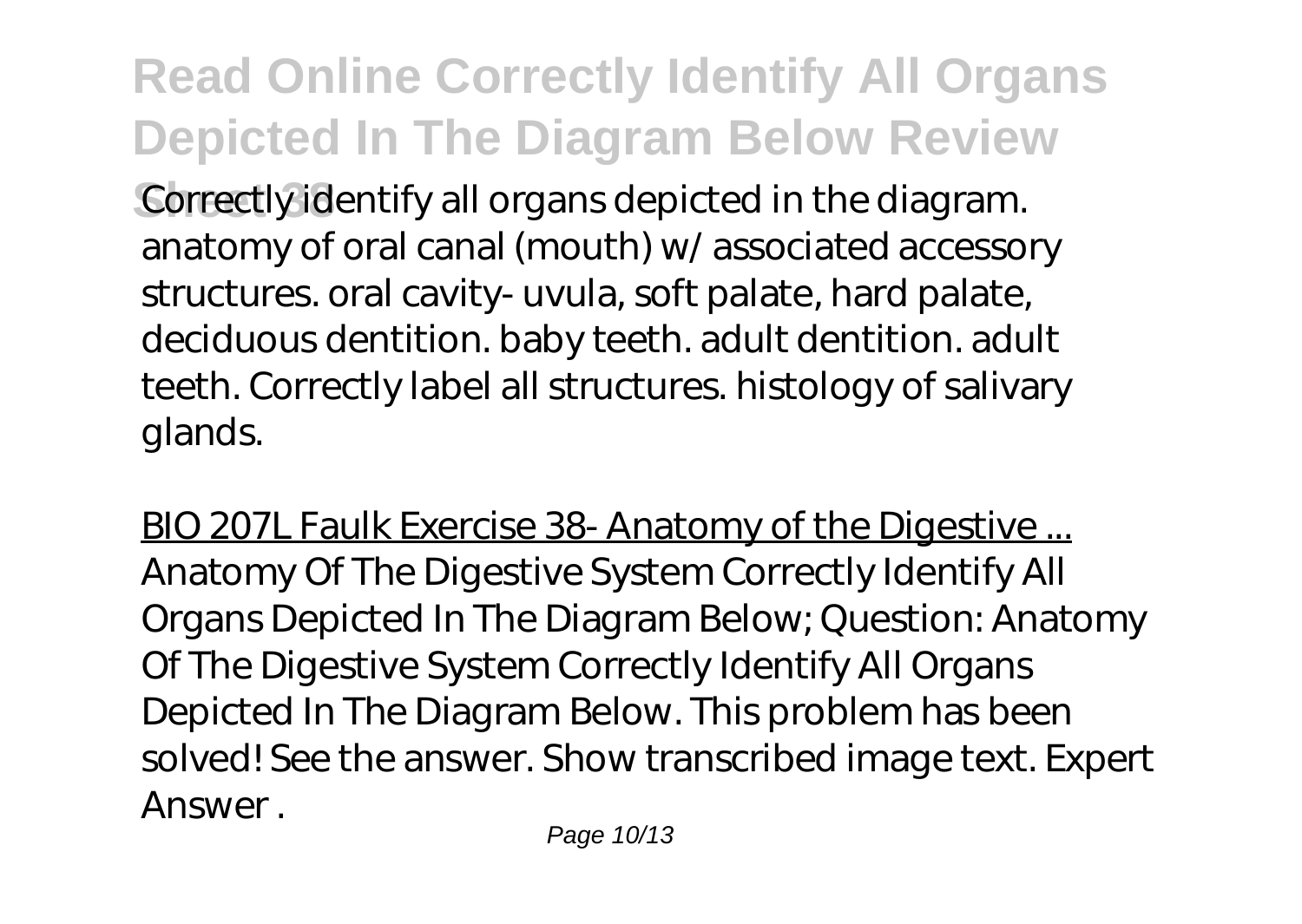**Correctly identify all organs depicted in the diagram.** anatomy of oral canal (mouth) w/ associated accessory structures. oral cavity- uvula, soft palate, hard palate, deciduous dentition. baby teeth. adult dentition. adult teeth. Correctly label all structures. histology of salivary glands.

BIO 207L Faulk Exercise 38- Anatomy of the Digestive ... Anatomy Of The Digestive System Correctly Identify All Organs Depicted In The Diagram Below; Question: Anatomy Of The Digestive System Correctly Identify All Organs Depicted In The Diagram Below. This problem has been solved! See the answer. Show transcribed image text. Expert Answer .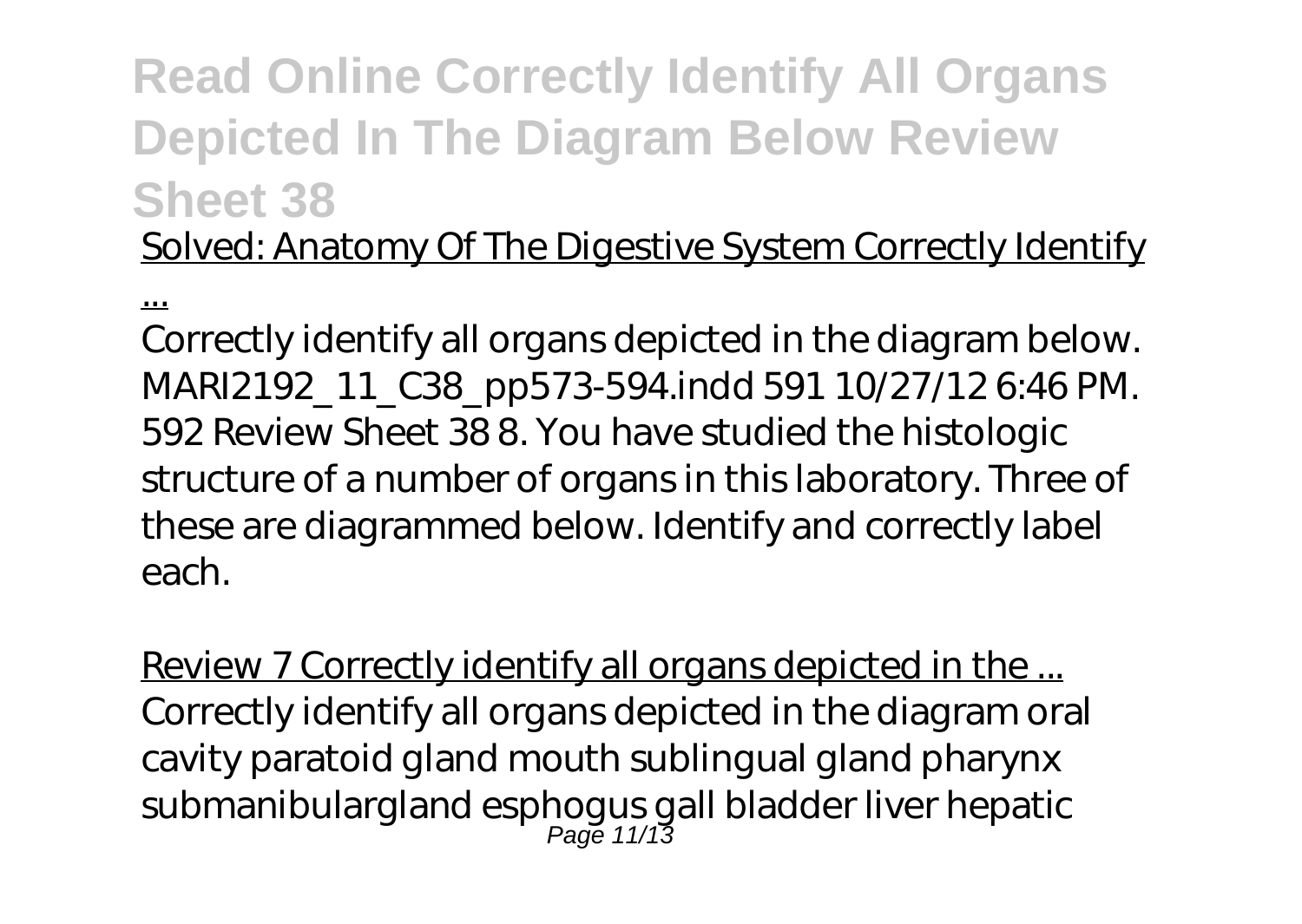Solved: Anatomy Of The Digestive System Correctly Identify

...

Correctly identify all organs depicted in the diagram below. MARI2192\_11\_C38\_pp573-594.indd 591 10/27/12 6:46 PM. 592 Review Sheet 38 8. You have studied the histologic structure of a number of organs in this laboratory. Three of these are diagrammed below. Identify and correctly label each.

Review 7 Correctly identify all organs depicted in the ... Correctly identify all organs depicted in the diagram oral cavity paratoid gland mouth sublingual gland pharynx submanibulargland esphogus gall bladder liver hepatic Page 11/13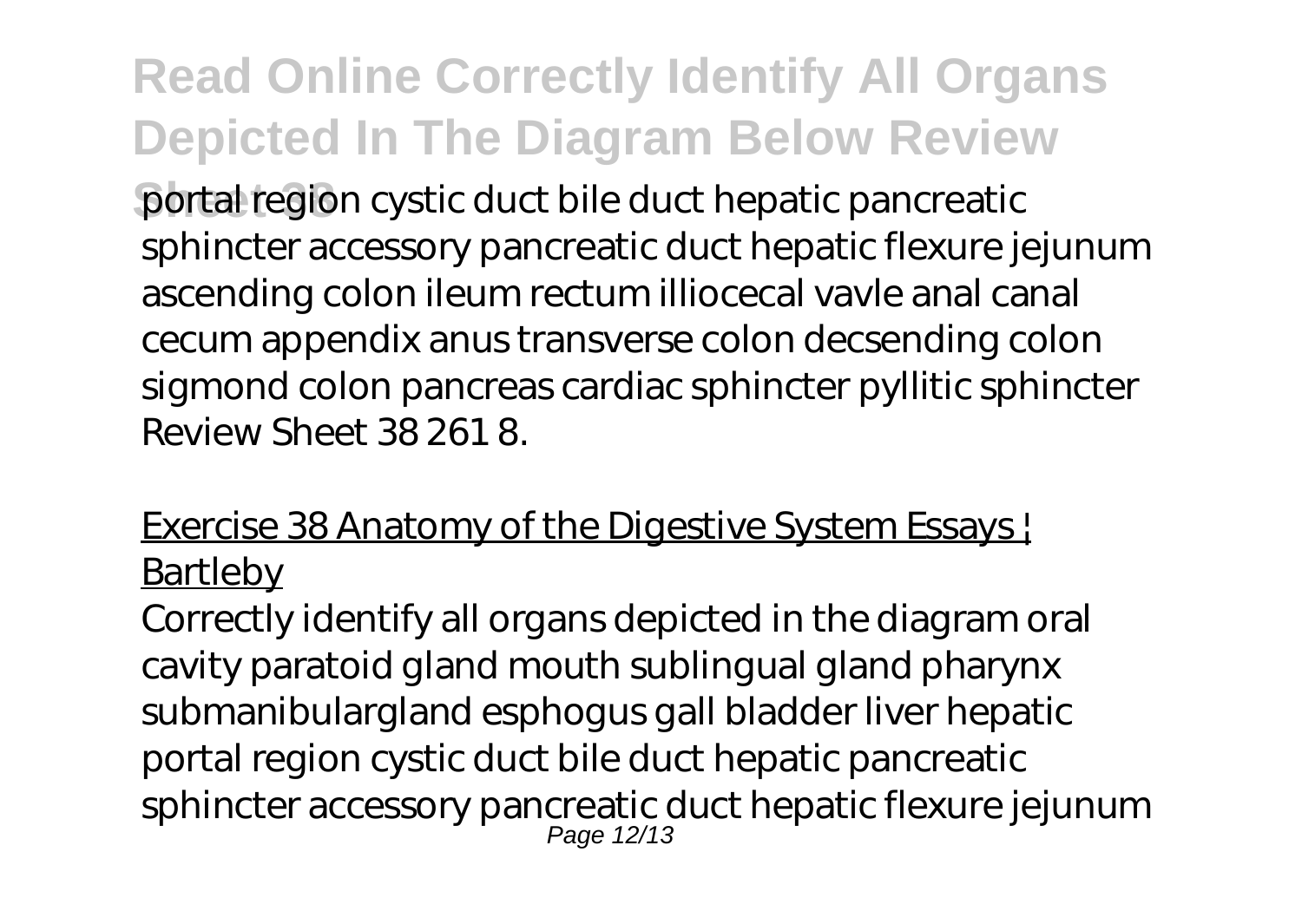**Sheet 38** portal region cystic duct bile duct hepatic pancreatic sphincter accessory pancreatic duct hepatic flexure jejunum ascending colon ileum rectum illiocecal vavle anal canal cecum appendix anus transverse colon decsending colon sigmond colon pancreas cardiac sphincter pyllitic sphincter Review Sheet 38 261 8.

#### Exercise 38 Anatomy of the Digestive System Essays ! **Bartleby**

Correctly identify all organs depicted in the diagram oral cavity paratoid gland mouth sublingual gland pharynx submanibulargland esphogus gall bladder liver hepatic portal region cystic duct bile duct hepatic pancreatic sphincter accessory pancreatic duct hepatic flexure jejunum Page 12/13